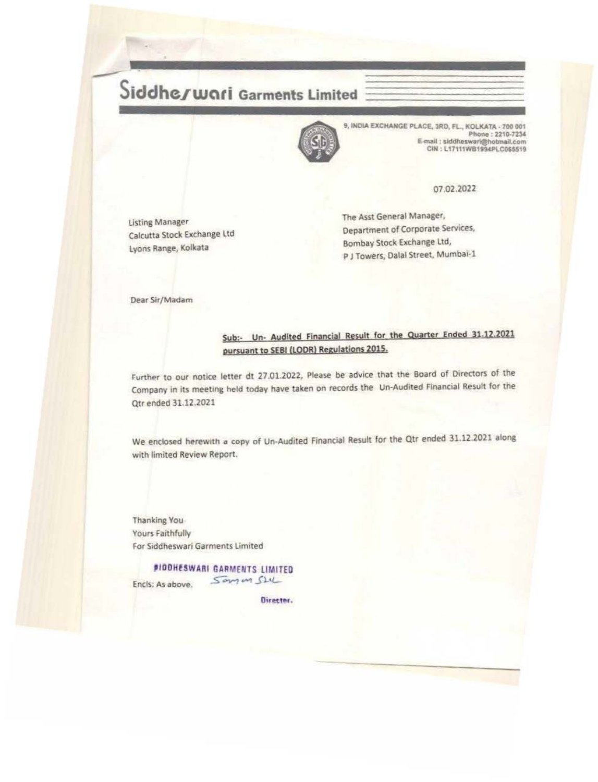## Siddheswari Garments Limited



9, INDIA EXCHANGE PLACE, SRD, FL, KOLKATA. 700 001<br>
Phone : 2210-7234<br>
E-mail : siddheswari@hotmail.com<br>
CIN : L17111W81994PLC065519 Phone : 2210-7234 E-mail : siddheswari@hotmail.com CIN: L17111WB1994PLC065519

07.02.2022

Listing Manager Calcutta Stock Exchange ltd Lyons Range, Kolkata

The Asst General Manager, Department of Corporate Services, Bombay Stock Exchange ltd, P J Towers, Dalal Street, Mumbai-1

Dear Sir/Madam

## Sub:- Un- Audited Financial Result for the Quarter Ended 31.12.2021 pursuant to SEBI (LODR) Regulations 2015.

Further to our notice letter dt 27.01.2022, Please be advice that the Board of Directors of the Company in its meeting held today have taken on records the Un-Audited financial Result for the Qtr ended 31.12.2021

We enclosed herewith a copy of Un-Audited Financial Result for the Qtr ended 31.12.2021 along with limited Review Report.

Thanking You Yours Faithfully For Siddheswari Garments limited

*BIODHESWARI GARMENTS LIMITED* Encls; As above. Som in SLU

Director.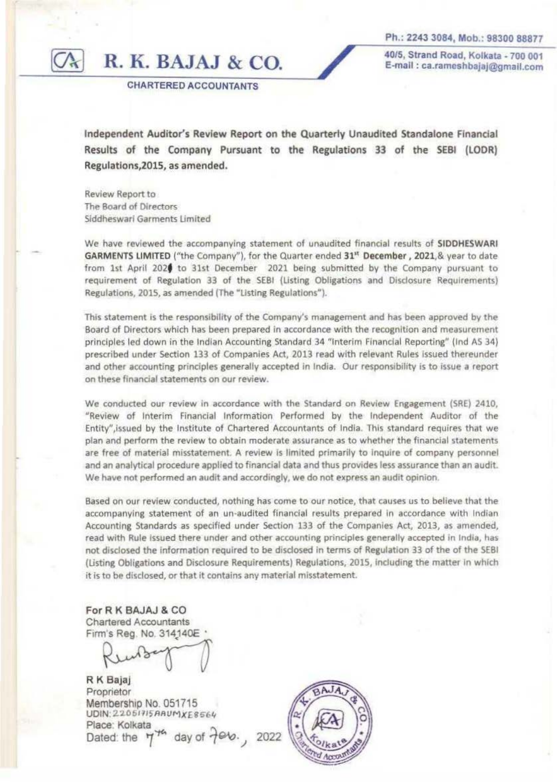Ph.: 2243 3084, Mob.: 98300 88877

**R. K. BAJAJ** & CO.

40/5, Strand Road, Kolkata -700 001 E-mail : ca.rameshbajaj@gmall.com

CHARTERED ACCOUNTANTS

Independent Auditor's Review Report on the Quarterly Unaudited Standalone Financial Results of the Company Pursuant to the Regulations 33 of the SEBI (LOOR) Regulations, 2015, as amended.

Review Report to The Board of Directors Siddheswarl Garments Umited

We have reviewed the accompanying statement of unaudited financial results of SIDDHESWARI GARMENTS LIMITED ("the Company"), for the Quarter ended  $31<sup>st</sup>$  December, 2021, & year to date from 1st April 202f to 31st December 2021 being submitted by the Company pursuant to requirement of Regulation 33 of the SEBI (Listing Obligations and Dlsdosure Requirements) Regulations, 2015, as amended (The "Usting Regulations").

This statement is the responsibility of the Company's management and has been approved by the Board of Directors which has been prepared in accordance with the recognition and measurement principles led down in the Indian Accounting Standard 34 "Interim Financial Reporting" (lnd AS 34) prescribed under Section 133 of Companies Act, 2013 read with relevant Rules issued thereunder and other accounting principles generally accepted in India. Our responsibility is to issue a report on these finandal statements on our review.

We conducted our review in accordance with the Standard on Review Engagement (SRE) 2410, "Review of Interim Financial Information Performed by the Independent Auditor of the Entity",lssued by the Institute of Chartered Accountants of India This standard requires that we plan and perform the review to obtain moderate assurance as to whether the financial statements are free of material misstatement. A review is limited primarily to inquire of company personnel and an analytical procedure applied to financial data and thus provides less assurance than an audit. We have not performed an audit and accordingly, we do not express an audit opinion.

Based on our review conducted, nothing has come to our notice, that causes us to believe that the accompanying statement of an un-audited financial results prepared in accordance with Indian Accounting Standards as specified under Section 133 of the Companies Act, 2013, as amended, read with Rule issued there under and other accounting principles generally accepted in India, has not disclosed the information required to be disclosed in terms of Regulation 33 of the of the 5EBI (Listing Obligations and Disclosure Requirements) Regulations, 2015, including the matter in which it is to be disclosed, or that it contains any material misstatement.

For R K BAJAJ & CO Chartered Accountants Firm's Reg. No. 314140E

R K Bajaj Proprietor Membership No. 051715 UDIN: 22051715 ARUM XE8564 Place: Kolkata Dated: the  $7^{74}$  day of  $7^{96}$ . 2022

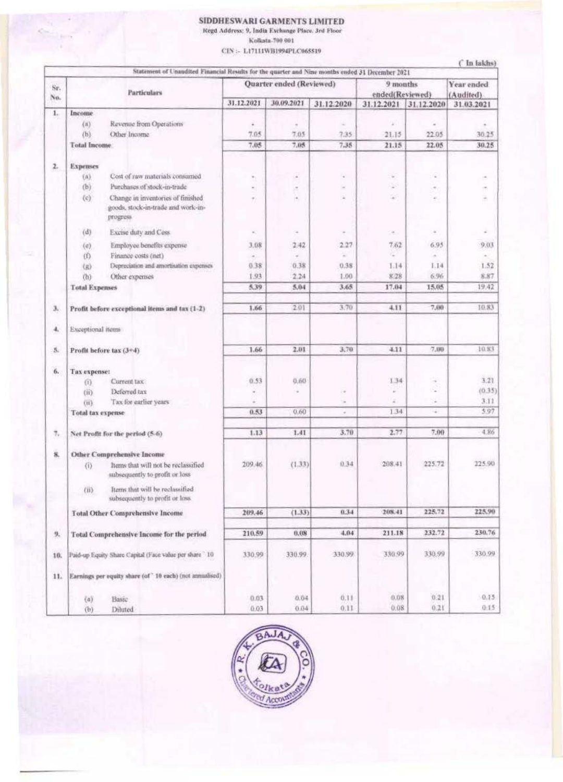## SIDDHESWARI GARMENTS LIMITED

Regd Address: 9, India Exchange Place. 3rd Floor

Kolksta-700 001

CIN: - L17111WB1994PLC065519

|            | Statement of Unaudited Financial Results for the quarter and Nine months ended 31 December 2021 |                                                                                     |                      | Quarter ended (Reviewed) |            | 9 months        |                | Year ended |
|------------|-------------------------------------------------------------------------------------------------|-------------------------------------------------------------------------------------|----------------------|--------------------------|------------|-----------------|----------------|------------|
| Sr.<br>No. | <b>Particulars</b>                                                                              |                                                                                     |                      |                          |            | ended(Reviewed) |                | (Audited)  |
|            |                                                                                                 |                                                                                     | 31.12.2021           | 30.09.2021               | 31.12.2020 | 31.12.2021      | 31.12.2020     | 31.03.2021 |
| 1.         | Income                                                                                          |                                                                                     |                      |                          |            |                 |                |            |
|            | (a)                                                                                             | Revenue from Operations                                                             | ٠                    | $\frac{1}{2}$            | ÷          | ¥               |                |            |
|            | (b)                                                                                             | Other Income                                                                        | 7.05                 | 7.05                     | 7.35       | 21.15           | 22.05          | 30.25      |
|            | <b>Total Income</b>                                                                             |                                                                                     | 7.05                 | 7.05                     | 7.35       | 21.15           | 22.05          | 30.25      |
| 2.         | <b>Expenses</b>                                                                                 |                                                                                     |                      |                          |            |                 |                |            |
|            | (A)                                                                                             | Cost of raw materials consumed                                                      | ÷.                   |                          | ×          | $\sim$          | $\sim$         |            |
|            | (b)                                                                                             | Purchases of stock-in-trade                                                         |                      |                          | $\sim$     | ×               | ÷.             |            |
|            | (c)                                                                                             | Change in inventories of finished<br>goods, stock-in-trade and work-in-<br>progress | ٠                    | ٠                        | $\sim$     | ×               | $\alpha$       | ۰          |
|            | (d)                                                                                             | Excise duty and Cess                                                                |                      | ۰                        |            |                 | $\bar{\alpha}$ | ä          |
|            |                                                                                                 |                                                                                     | $\alpha$             |                          |            | ÷               |                |            |
|            | (e)                                                                                             | Employee benefits expense                                                           | 3.08                 | 2.42                     | 2.27       | 7.62            | 6.95           | 9.03       |
|            | (f)                                                                                             | Finance costs (net)                                                                 | $\sim$               | $\sim$                   | z          | ÷               | $\sim$         | $\equiv$   |
|            | (点)                                                                                             | Depreciation and amortisation expenses                                              | 0.38                 | 0.38                     | 0.38       | 1.14            | 1.14           | 1.52       |
|            | (h)                                                                                             | Other expenses                                                                      | 1.93                 | 2.24                     | 1.00       | 8.28            | 6.96           | 8.87       |
|            | <b>Total Expenses</b>                                                                           |                                                                                     | 5.39                 | 5.04                     | 3.65       | 17.04           | 15.05          | 19.42      |
| з.         |                                                                                                 | Profit before exceptional items and tax (1-2)                                       | 1.66                 | 2.01                     | 3.70       | 4.11            | 7.00           | 10.83      |
| 4.         | Exceptional items                                                                               |                                                                                     |                      |                          |            |                 |                |            |
| 5.         |                                                                                                 | Profit before tax (3+4)                                                             | 1.66                 | 2.01                     | 3,70       | 4.11            | 7,00           | 10.83      |
| 6.         | Tax expense:                                                                                    |                                                                                     |                      |                          |            |                 |                |            |
|            | (i)                                                                                             | Current tax                                                                         | 0.53                 | 0,60                     |            | 134             | ÷              | 3.21       |
|            | (iii)                                                                                           | Deferred tax                                                                        | $\scriptstyle\rm{m}$ | ٠                        | ٠          | $\sim$          | z              | (0.35)     |
|            | (ii)                                                                                            | Tax for earlier years                                                               |                      |                          | ٠          | z               | ×              | 3.11       |
|            | Total tax expense                                                                               |                                                                                     | 0.53                 | 0.60                     | $\sim$     | 1.34            | ÷              | 5.97       |
| 7,         |                                                                                                 | Net Profit for the period (5-6)                                                     | 1.13                 | 1.41                     | 3.70       | 2.77            | 7.90           | 4.86       |
| 8.         |                                                                                                 | <b>Other Comprehensive Income</b>                                                   |                      |                          |            |                 |                |            |
|            |                                                                                                 | (i) Items that will not be reclassified<br>subsequently to profit or loss           | 209.46               | (1.33)                   | 0.34       | 208.41          | 225.72         | 225.90     |
|            | $\langle \text{II} \rangle$                                                                     | Items that will be reclassified<br>subsequently to profit or loss.                  |                      |                          |            |                 |                |            |
|            |                                                                                                 | <b>Total Other Comprehensive Income</b>                                             | 209.46               | (1.33)                   | 0.34       | 208.41          | 225.72         | 225.90     |
| 9.         |                                                                                                 | <b>Total Comprehensive Income for the period</b>                                    | 210.59               | 0.08                     | 4.04       | 211.18          | 232.72         | 230.76     |
| 10.        | Paid-up Equity Share Capital (Face value per share 10                                           |                                                                                     | 330.99               | 330.99                   | 330.99     | 330.99          | 330.99         | 330.99     |
| 11.        |                                                                                                 | Earnings per equity share (of ' 10 each) (not annualised)                           |                      |                          |            |                 |                |            |
|            |                                                                                                 |                                                                                     |                      | 0.04                     | 0.11       | 0.08            | 0.21           | $0.15 -$   |
|            | (a)                                                                                             | Basic                                                                               | 0.03<br>0.03         | 0.04                     | 0.11       | 0.08            | 0.21           | 0:15       |